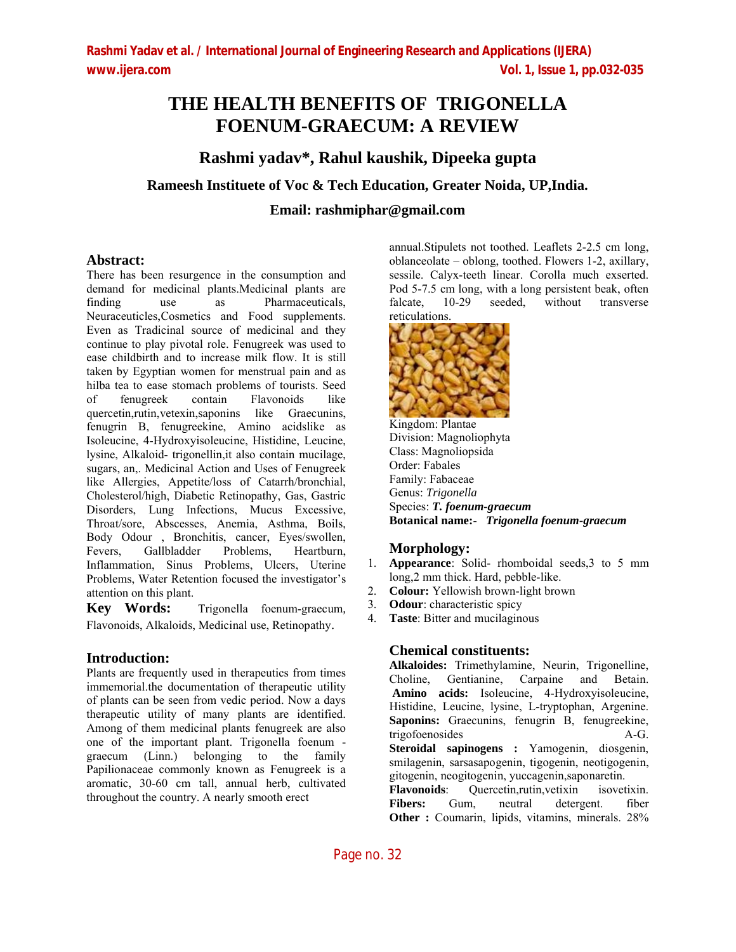# **THE HEALTH BENEFITS OF TRIGONELLA FOENUM-GRAECUM: A REVIEW**

# **Rashmi yadav\*, Rahul kaushik, Dipeeka gupta**

# **Rameesh Instituete of Voc & Tech Education, Greater Noida, UP,India.**

**Email: rashmiphar@gmail.com**

## **Abstract:**

There has been resurgence in the consumption and demand for medicinal plants.Medicinal plants are finding use as Pharmaceuticals, Neuraceuticles,Cosmetics and Food supplements. Even as Tradicinal source of medicinal and they continue to play pivotal role. Fenugreek was used to ease childbirth and to increase milk flow. It is still taken by Egyptian women for menstrual pain and as hilba tea to ease stomach problems of tourists. Seed of fenugreek contain Flavonoids like quercetin,rutin,vetexin,saponins like Graecunins, fenugrin B, fenugreekine, Amino acidslike as Isoleucine, 4-Hydroxyisoleucine, Histidine, Leucine, lysine, Alkaloid- trigonellin,it also contain mucilage, sugars, an,. Medicinal Action and Uses of Fenugreek like Allergies, Appetite/loss of Catarrh/bronchial, Cholesterol/high, Diabetic Retinopathy, Gas, Gastric Disorders, Lung Infections, Mucus Excessive, Throat/sore, Abscesses, Anemia, Asthma, Boils, Body Odour , Bronchitis, cancer, Eyes/swollen, Fevers, Gallbladder Problems, Heartburn, Inflammation, Sinus Problems, Ulcers, Uterine Problems, Water Retention focused the investigator's attention on this plant.

**Key Words:** Trigonella foenum-graecum*,* Flavonoids, Alkaloids, Medicinal use, Retinopathy.

# **Introduction:**

Plants are frequently used in therapeutics from times immemorial.the documentation of therapeutic utility of plants can be seen from vedic period. Now a days therapeutic utility of many plants are identified. Among of them medicinal plants fenugreek are also one of the important plant. Trigonella foenum graecum (Linn.) belonging to the family Papilionaceae commonly known as Fenugreek is a aromatic, 30-60 cm tall, annual herb, cultivated throughout the country. A nearly smooth erect

annual.Stipulets not toothed. Leaflets 2-2.5 cm long, oblanceolate – oblong, toothed. Flowers 1-2, axillary, sessile. Calyx-teeth linear. Corolla much exserted. Pod 5-7.5 cm long, with a long persistent beak, often falcate, 10-29 seeded, without transverse reticulations.



Kingdom: Plantae Division: Magnoliophyta Class: Magnoliopsida Order: Fabales Family: Fabaceae Genus: *Trigonella* Species: *T. foenum-graecum* **Botanical name:**- *Trigonella foenum-graecum*

# **Morphology:**

- 1. **Appearance**: Solid- rhomboidal seeds,3 to 5 mm long,2 mm thick. Hard, pebble-like.
- 2. **Colour:** Yellowish brown-light brown
- 3. **Odour**: characteristic spicy
- 4. **Taste**: Bitter and mucilaginous

# **Chemical constituents:**

**Alkaloides:** Trimethylamine, Neurin, Trigonelline, Choline, Gentianine, Carpaine and Betain. **Amino acids:** Isoleucine, 4-Hydroxyisoleucine, Histidine, Leucine, lysine, L-tryptophan, Argenine. **Saponins:** Graecunins, fenugrin B, fenugreekine, trigofoenosides A-G. **Steroidal sapinogens :** Yamogenin, diosgenin, smilagenin, sarsasapogenin, tigogenin, neotigogenin, gitogenin, neogitogenin, yuccagenin,saponaretin. **Flavonoids**: Quercetin,rutin,vetixin isovetixin. **Fibers:** Gum, neutral detergent. fiber

**Other :** Coumarin, lipids, vitamins, minerals. 28%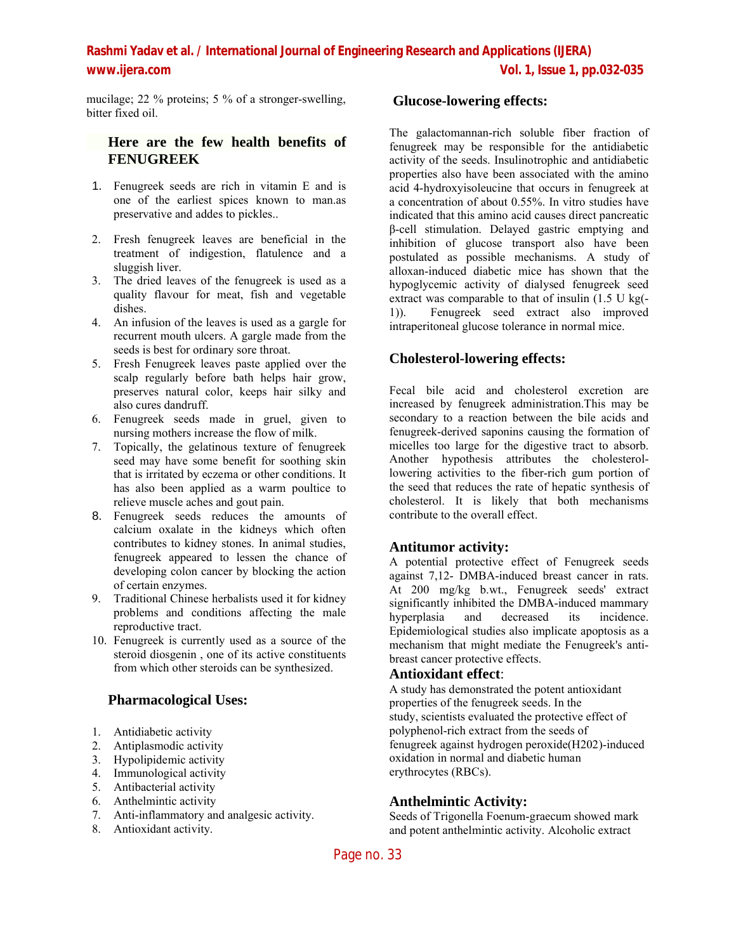**Rashmi Yadav et al. / International Journal of Engineering Research and Applications (IJERA) www.ijera.com Vol. 1, Issue 1, pp.032-035**

mucilage; 22 % proteins; 5 % of a stronger-swelling, bitter fixed oil.

## **Here are the few health benefits of FENUGREEK**

- 1. Fenugreek seeds are rich in vitamin E and is one of the earliest spices known to man.as preservative and addes to pickles..
- 2. Fresh fenugreek leaves are beneficial in the treatment of indigestion, flatulence and a sluggish liver.
- 3. The dried leaves of the fenugreek is used as a quality flavour for meat, fish and vegetable dishes.
- 4. An infusion of the leaves is used as a gargle for recurrent mouth ulcers. A gargle made from the seeds is best for ordinary sore throat.
- 5. Fresh Fenugreek leaves paste applied over the scalp regularly before bath helps hair grow, preserves natural color, keeps hair silky and also cures dandruff.
- 6. Fenugreek seeds made in gruel, given to nursing mothers increase the flow of milk.
- 7. Topically, the gelatinous texture of fenugreek seed may have some benefit for soothing skin that is irritated by eczema or other conditions. It has also been applied as a warm poultice to relieve muscle aches and gout pain.
- 8. Fenugreek seeds reduces the amounts of calcium oxalate in the kidneys which often contributes to kidney stones. In animal studies, fenugreek appeared to lessen the chance of developing colon cancer by blocking the action of certain enzymes.
- 9. Traditional Chinese herbalists used it for kidney problems and conditions affecting the male reproductive tract.
- 10. Fenugreek is currently used as a source of the steroid diosgenin , one of its active constituents from which other steroids can be synthesized.

#### **Pharmacological Uses:**

- 1. Antidiabetic activity
- 2. Antiplasmodic activity
- 3. Hypolipidemic activity
- 4. Immunological activity
- 5. Antibacterial activity
- 6. Anthelmintic activity
- 7. Anti-inflammatory and analgesic activity.
- 8. Antioxidant activity.

### **Glucose-lowering effects:**

The galactomannan-rich soluble fiber fraction of fenugreek may be responsible for the antidiabetic activity of the seeds. Insulinotrophic and antidiabetic properties also have been associated with the amino acid 4-hydroxyisoleucine that occurs in fenugreek at a concentration of about 0.55%. In vitro studies have indicated that this amino acid causes direct pancreatic β-cell stimulation. Delayed gastric emptying and inhibition of glucose transport also have been postulated as possible mechanisms. A study of alloxan-induced diabetic mice has shown that the hypoglycemic activity of dialysed fenugreek seed extract was comparable to that of insulin (1.5 U kg(- 1)). Fenugreek seed extract also improved intraperitoneal glucose tolerance in normal mice.

### **Cholesterol-lowering effects:**

Fecal bile acid and cholesterol excretion are increased by fenugreek administration.This may be secondary to a reaction between the bile acids and fenugreek-derived saponins causing the formation of micelles too large for the digestive tract to absorb. Another hypothesis attributes the cholesterollowering activities to the fiber-rich gum portion of the seed that reduces the rate of hepatic synthesis of cholesterol. It is likely that both mechanisms contribute to the overall effect.

#### **Antitumor activity:**

A potential protective effect of Fenugreek seeds against 7,12- DMBA-induced breast cancer in rats. At 200 mg/kg b.wt., Fenugreek seeds' extract significantly inhibited the DMBA-induced mammary hyperplasia and decreased its incidence. Epidemiological studies also implicate apoptosis as a mechanism that might mediate the Fenugreek's antibreast cancer protective effects.

#### **Antioxidant effect**:

A study has demonstrated the potent antioxidant properties of the fenugreek seeds. In the study, scientists evaluated the protective effect of polyphenol-rich extract from the seeds of fenugreek against hydrogen peroxide(H202)-induced oxidation in normal and diabetic human erythrocytes (RBCs).

#### **Anthelmintic Activity:**

Seeds of Trigonella Foenum-graecum showed mark and potent anthelmintic activity. Alcoholic extract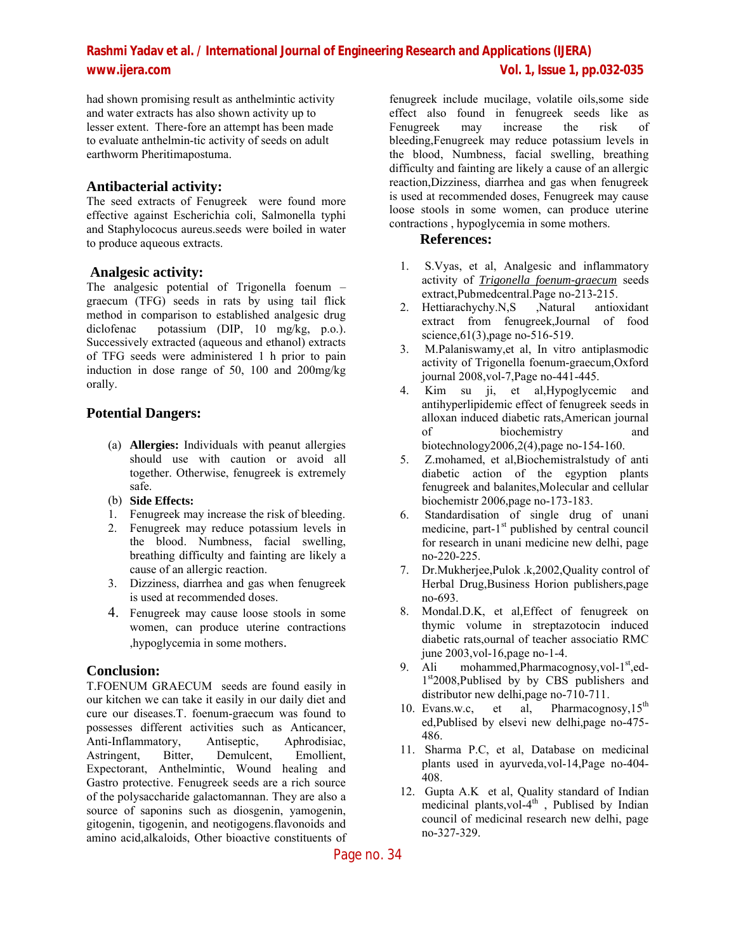# **Rashmi Yadav et al. / International Journal of Engineering Research and Applications (IJERA)**

had shown promising result as anthelmintic activity and water extracts has also shown activity up to lesser extent. There-fore an attempt has been made to evaluate anthelmin-tic activity of seeds on adult earthworm Pheritimapostuma.

#### **Antibacterial activity:**

The seed extracts of Fenugreek were found more effective against Escherichia coli, Salmonella typhi and Staphylococus aureus.seeds were boiled in water to produce aqueous extracts.

### **Analgesic activity:**

The analgesic potential of Trigonella foenum – graecum (TFG) seeds in rats by using tail flick method in comparison to established analgesic drug diclofenac potassium (DIP, 10 mg/kg, p.o.). Successively extracted (aqueous and ethanol) extracts of TFG seeds were administered 1 h prior to pain induction in dose range of 50, 100 and 200mg/kg orally.

## **Potential Dangers:**

- (a) **Allergies:** Individuals with peanut allergies should use with caution or avoid all together. Otherwise, fenugreek is extremely safe.
- (b) **Side Effects:**
- 1. Fenugreek may increase the risk of bleeding.
- 2. Fenugreek may reduce potassium levels in the blood. Numbness, facial swelling, breathing difficulty and fainting are likely a cause of an allergic reaction.
- 3. Dizziness, diarrhea and gas when fenugreek is used at recommended doses.
- 4. Fenugreek may cause loose stools in some women, can produce uterine contractions ,hypoglycemia in some mothers.

## **Conclusion:**

T.FOENUM GRAECUM seeds are found easily in our kitchen we can take it easily in our daily diet and cure our diseases.T. foenum-graecum was found to possesses different activities such as Anticancer, Anti-Inflammatory, Antiseptic, Aphrodisiac, Astringent, Bitter, Demulcent, Emollient, Expectorant, Anthelmintic, Wound healing and Gastro protective. Fenugreek seeds are a rich source of the polysaccharide galactomannan. They are also a source of saponins such as diosgenin, yamogenin, gitogenin, tigogenin, and neotigogens.flavonoids and amino acid,alkaloids, Other bioactive constituents of

fenugreek include mucilage, volatile oils,some side effect also found in fenugreek seeds like as Fenugreek may increase the risk of bleeding,Fenugreek may reduce potassium levels in the blood, Numbness, facial swelling, breathing difficulty and fainting are likely a cause of an allergic reaction,Dizziness, diarrhea and gas when fenugreek is used at recommended doses, Fenugreek may cause loose stools in some women, can produce uterine contractions , hypoglycemia in some mothers.

#### **References:**

- 1. S.Vyas, et al, Analgesic and inflammatory activity of *Trigonella foenum-graecum* seeds extract,Pubmedcentral.Page no-213-215.
- 2. Hettiarachychy.N,S ,Natural antioxidant extract from fenugreek,Journal of food science, 61(3), page no-516-519.
- 3. M.Palaniswamy,et al, In vitro antiplasmodic activity of Trigonella foenum-graecum,Oxford journal 2008,vol-7,Page no-441-445.
- 4. Kim su ji, et al,Hypoglycemic and antihyperlipidemic effect of fenugreek seeds in alloxan induced diabetic rats,American journal of biochemistry and biotechnology2006,2(4),page no-154-160.
- 5. Z.mohamed, et al,Biochemistralstudy of anti diabetic action of the egyption plants fenugreek and balanites,Molecular and cellular biochemistr 2006,page no-173-183.
- 6. Standardisation of single drug of unani medicine, part-1<sup>st</sup> published by central council for research in unani medicine new delhi, page no-220-225.
- 7. Dr.Mukherjee,Pulok .k,2002,Quality control of Herbal Drug,Business Horion publishers,page no-693.
- 8. Mondal.D.K, et al,Effect of fenugreek on thymic volume in streptazotocin induced diabetic rats,ournal of teacher associatio RMC june 2003,vol-16,page no-1-4.
- 9. Ali mohammed, Pharmacognosy, vol- $1<sup>st</sup>$ , ed-1st<sub>2008</sub>,Publised by by CBS publishers and distributor new delhi,page no-710-711.
- 10. Evans.w.c, et al, Pharmacognosy, 15<sup>th</sup> ed,Publised by elsevi new delhi,page no-475- 486.
- 11. Sharma P.C, et al, Database on medicinal plants used in ayurveda,vol-14,Page no-404- 408.
- 12. Gupta A.K et al, Quality standard of Indian medicinal plants, vol- $4^{th}$ , Publised by Indian council of medicinal research new delhi, page no-327-329.

Page no. 34

## **www.ijera.com Vol. 1, Issue 1, pp.032-035**